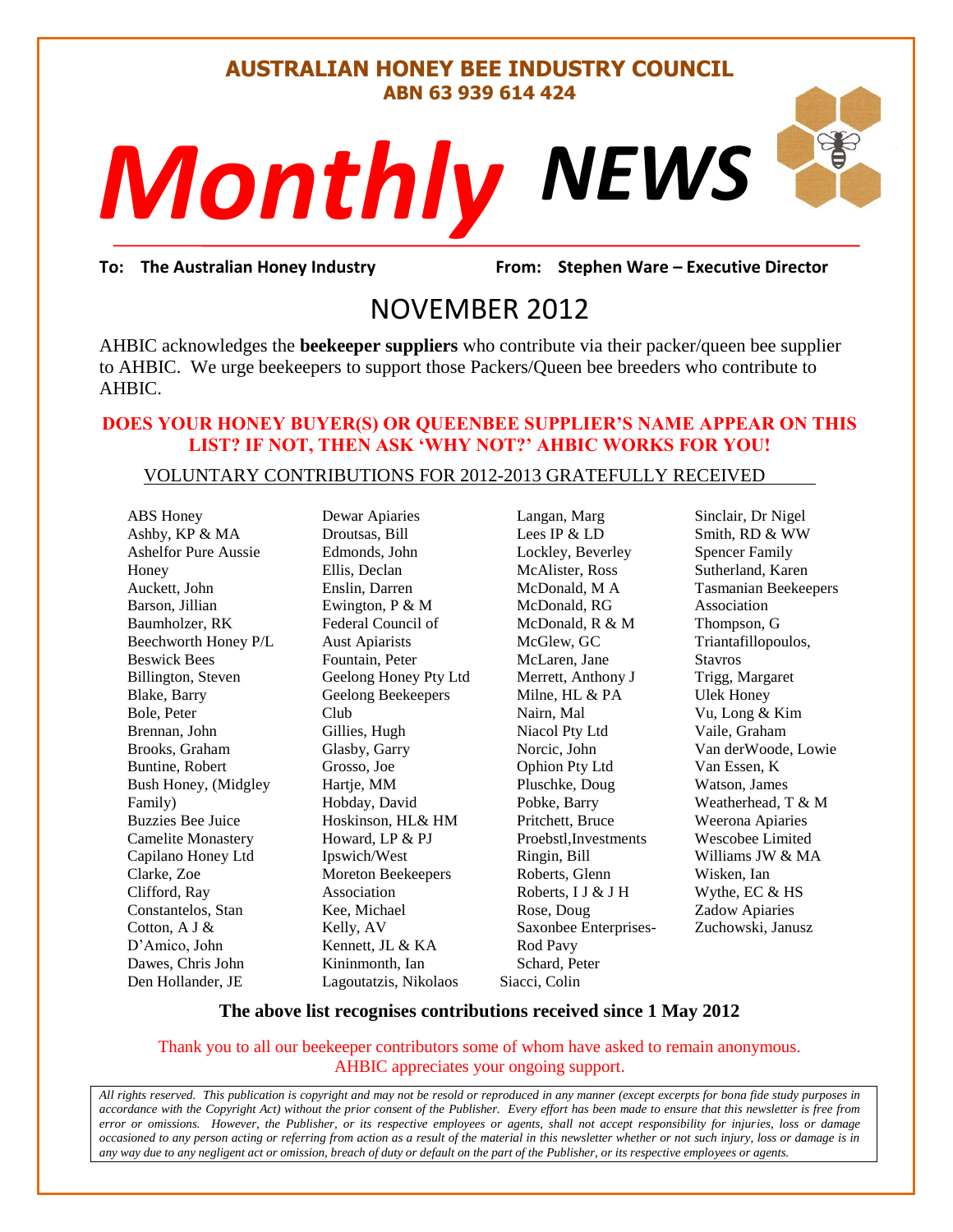#### **AUSTRALIAN HONEY BEE INDUSTRY COUNCIL ABN 63 939 614 424**

# *NEWS Monthly*

gradient Warren Warren 1980<br>1912 March 1980<br>1912 March 1980 **To: The Australian Honey Industry From: Stephen Ware – Executive Director**

## NOVEMBER 2012

AHBIC acknowledges the **beekeeper suppliers** who contribute via their packer/queen bee supplier to AHBIC. We urge beekeepers to support those Packers/Queen bee breeders who contribute to AHBIC.

#### **DOES YOUR HONEY BUYER(S) OR QUEENBEE SUPPLIER'S NAME APPEAR ON THIS LIST? IF NOT, THEN ASK 'WHY NOT?' AHBIC WORKS FOR YOU!**

#### VOLUNTARY CONTRIBUTIONS FOR 2012-2013 GRATEFULLY RECEIVED

ABS Honey Ashby, KP & MA Ashelfor Pure Aussie Honey Auckett, John Barson, Jillian Baumholzer, RK Beechworth Honey P/L Beswick Bees Billington, Steven Blake, Barry Bole, Peter Brennan, John Brooks, Graham Buntine, Robert Bush Honey, (Midgley Family) Buzzies Bee Juice Camelite Monastery Capilano Honey Ltd Clarke, Zoe Clifford, Ray Constantelos, Stan Cotton, A J & D'Amico, John Dawes, Chris John Den Hollander, JE

Dewar Apiaries Droutsas, Bill Edmonds, John Ellis, Declan Enslin, Darren Ewington, P & M Federal Council of Aust Apiarists Fountain, Peter Geelong Honey Pty Ltd Geelong Beekeepers Club Gillies, Hugh Glasby, Garry Grosso, Joe Hartje, MM Hobday, David Hoskinson, HL& HM Howard, LP & PJ Ipswich/West Moreton Beekeepers Association Kee, Michael Kelly, AV Kennett, JL & KA Kininmonth, Ian Lagoutatzis, Nikolaos

Langan, Marg Lees IP & LD Lockley, Beverley McAlister, Ross McDonald, M A McDonald, RG McDonald, R & M McGlew, GC McLaren, Jane Merrett, Anthony J Milne, HL & PA Nairn, Mal Niacol Pty Ltd Norcic, John Ophion Pty Ltd Pluschke, Doug Pobke, Barry Pritchett, Bruce Proebstl,Investments Ringin, Bill Roberts, Glenn Roberts, I J & J H Rose, Doug Saxonbee Enterprises-Rod Pavy Schard, Peter Siacci, Colin

Sinclair, Dr Nigel Smith, RD & WW Spencer Family Sutherland, Karen Tasmanian Beekeepers Association Thompson, G Triantafillopoulos, Stavros Trigg, Margaret Ulek Honey Vu, Long & Kim Vaile, Graham Van derWoode, Lowie Van Essen, K Watson, James Weatherhead, T & M Weerona Apiaries Wescobee Limited Williams JW & MA Wisken, Ian Wythe, EC & HS Zadow Apiaries Zuchowski, Janusz

S

#### **The above list recognises contributions received since 1 May 2012**

Thank you to all our beekeeper contributors some of whom have asked to remain anonymous. AHBIC appreciates your ongoing support.

*All rights reserved. This publication is copyright and may not be resold or reproduced in any manner (except excerpts for bona fide study purposes in accordance with the Copyright Act) without the prior consent of the Publisher. Every effort has been made to ensure that this newsletter is free from error or omissions. However, the Publisher, or its respective employees or agents, shall not accept responsibility for injuries, loss or damage occasioned to any person acting or referring from action as a result of the material in this newsletter whether or not such injury, loss or damage is in any way due to any negligent act or omission, breach of duty or default on the part of the Publisher, or its respective employees or agents.*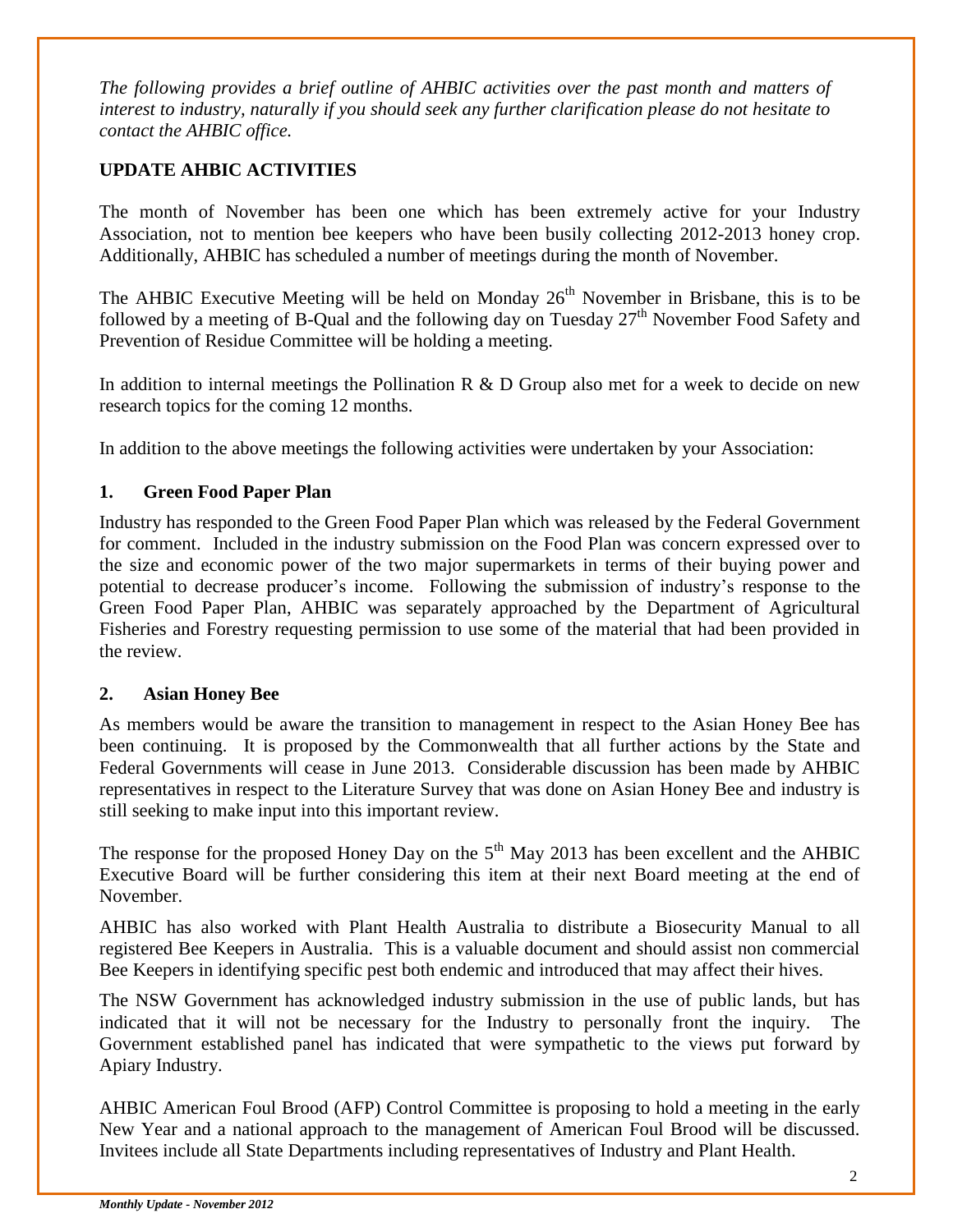*The following provides a brief outline of AHBIC activities over the past month and matters of interest to industry, naturally if you should seek any further clarification please do not hesitate to contact the AHBIC office.*

#### **UPDATE AHBIC ACTIVITIES**

The month of November has been one which has been extremely active for your Industry Association, not to mention bee keepers who have been busily collecting 2012-2013 honey crop. Additionally, AHBIC has scheduled a number of meetings during the month of November.

The AHBIC Executive Meeting will be held on Monday  $26<sup>th</sup>$  November in Brisbane, this is to be followed by a meeting of B-Qual and the following day on Tuesday  $27<sup>th</sup>$  November Food Safety and Prevention of Residue Committee will be holding a meeting.

In addition to internal meetings the Pollination R  $\&$  D Group also met for a week to decide on new research topics for the coming 12 months.

In addition to the above meetings the following activities were undertaken by your Association:

#### **1. Green Food Paper Plan**

Industry has responded to the Green Food Paper Plan which was released by the Federal Government for comment. Included in the industry submission on the Food Plan was concern expressed over to the size and economic power of the two major supermarkets in terms of their buying power and potential to decrease producer's income. Following the submission of industry's response to the Green Food Paper Plan, AHBIC was separately approached by the Department of Agricultural Fisheries and Forestry requesting permission to use some of the material that had been provided in the review.

#### **2. Asian Honey Bee**

As members would be aware the transition to management in respect to the Asian Honey Bee has been continuing. It is proposed by the Commonwealth that all further actions by the State and Federal Governments will cease in June 2013. Considerable discussion has been made by AHBIC representatives in respect to the Literature Survey that was done on Asian Honey Bee and industry is still seeking to make input into this important review.

The response for the proposed Honey Day on the  $5<sup>th</sup>$  May 2013 has been excellent and the AHBIC Executive Board will be further considering this item at their next Board meeting at the end of November.

AHBIC has also worked with Plant Health Australia to distribute a Biosecurity Manual to all registered Bee Keepers in Australia. This is a valuable document and should assist non commercial Bee Keepers in identifying specific pest both endemic and introduced that may affect their hives.

The NSW Government has acknowledged industry submission in the use of public lands, but has indicated that it will not be necessary for the Industry to personally front the inquiry. The Government established panel has indicated that were sympathetic to the views put forward by Apiary Industry.

AHBIC American Foul Brood (AFP) Control Committee is proposing to hold a meeting in the early New Year and a national approach to the management of American Foul Brood will be discussed. Invitees include all State Departments including representatives of Industry and Plant Health.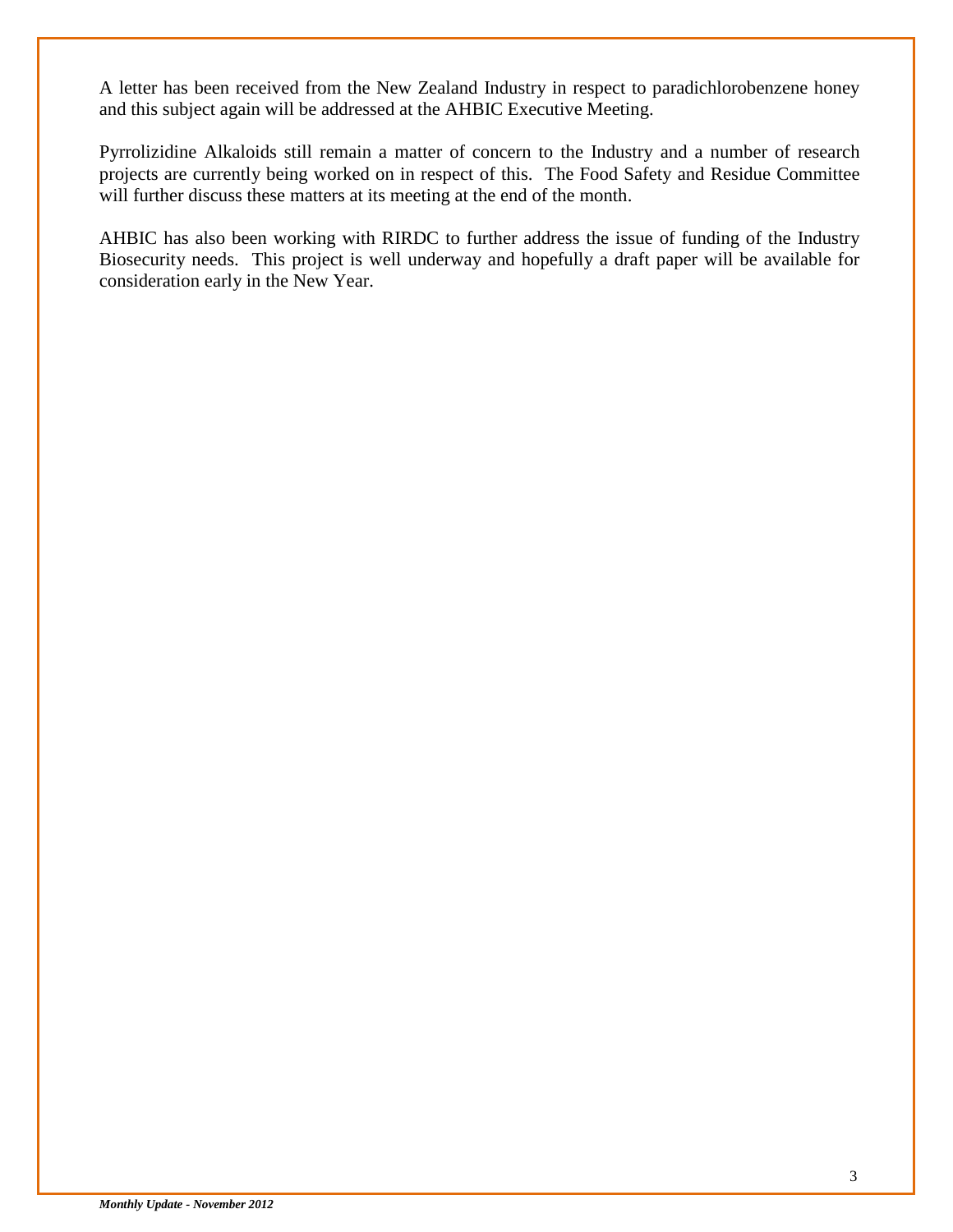A letter has been received from the New Zealand Industry in respect to paradichlorobenzene honey and this subject again will be addressed at the AHBIC Executive Meeting.

Pyrrolizidine Alkaloids still remain a matter of concern to the Industry and a number of research projects are currently being worked on in respect of this. The Food Safety and Residue Committee will further discuss these matters at its meeting at the end of the month.

AHBIC has also been working with RIRDC to further address the issue of funding of the Industry Biosecurity needs. This project is well underway and hopefully a draft paper will be available for consideration early in the New Year.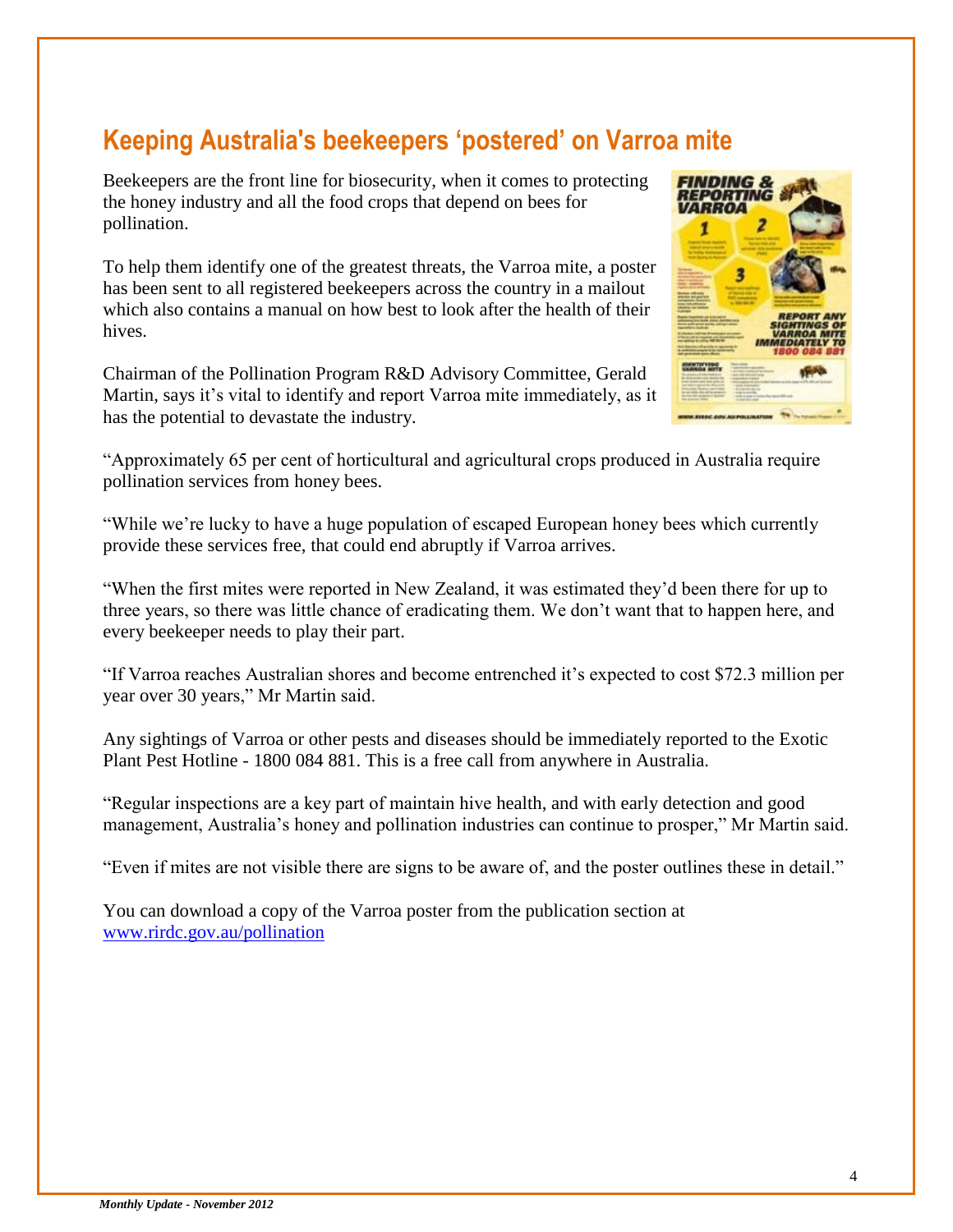## **Keeping Australia's beekeepers 'postered' on Varroa mite**

Beekeepers are the front line for biosecurity, when it comes to protecting the honey industry and all the food crops that depend on bees for pollination.

To help them identify one of the greatest threats, the Varroa mite, a poster has been sent to all registered beekeepers across the country in a mailout which also contains a manual on how best to look after the health of their hives.

Chairman of the Pollination Program R&D Advisory Committee, Gerald Martin, says it's vital to identify and report Varroa mite immediately, as it has the potential to devastate the industry.



"Approximately 65 per cent of horticultural and agricultural crops produced in Australia require pollination services from honey bees.

"While we're lucky to have a huge population of escaped European honey bees which currently provide these services free, that could end abruptly if Varroa arrives.

"When the first mites were reported in New Zealand, it was estimated they'd been there for up to three years, so there was little chance of eradicating them. We don't want that to happen here, and every beekeeper needs to play their part.

"If Varroa reaches Australian shores and become entrenched it's expected to cost \$72.3 million per year over 30 years," Mr Martin said.

Any sightings of Varroa or other pests and diseases should be immediately reported to the Exotic Plant Pest Hotline - 1800 084 881. This is a free call from anywhere in Australia.

"Regular inspections are a key part of maintain hive health, and with early detection and good management, Australia's honey and pollination industries can continue to prosper," Mr Martin said.

"Even if mites are not visible there are signs to be aware of, and the poster outlines these in detail."

You can download a copy of the Varroa poster from the publication section at [www.rirdc.gov.au/pollination](http://promomail.adrenalinmedia.com.au/ch/22934/2ddkffy/1404767/3e8017m60.html)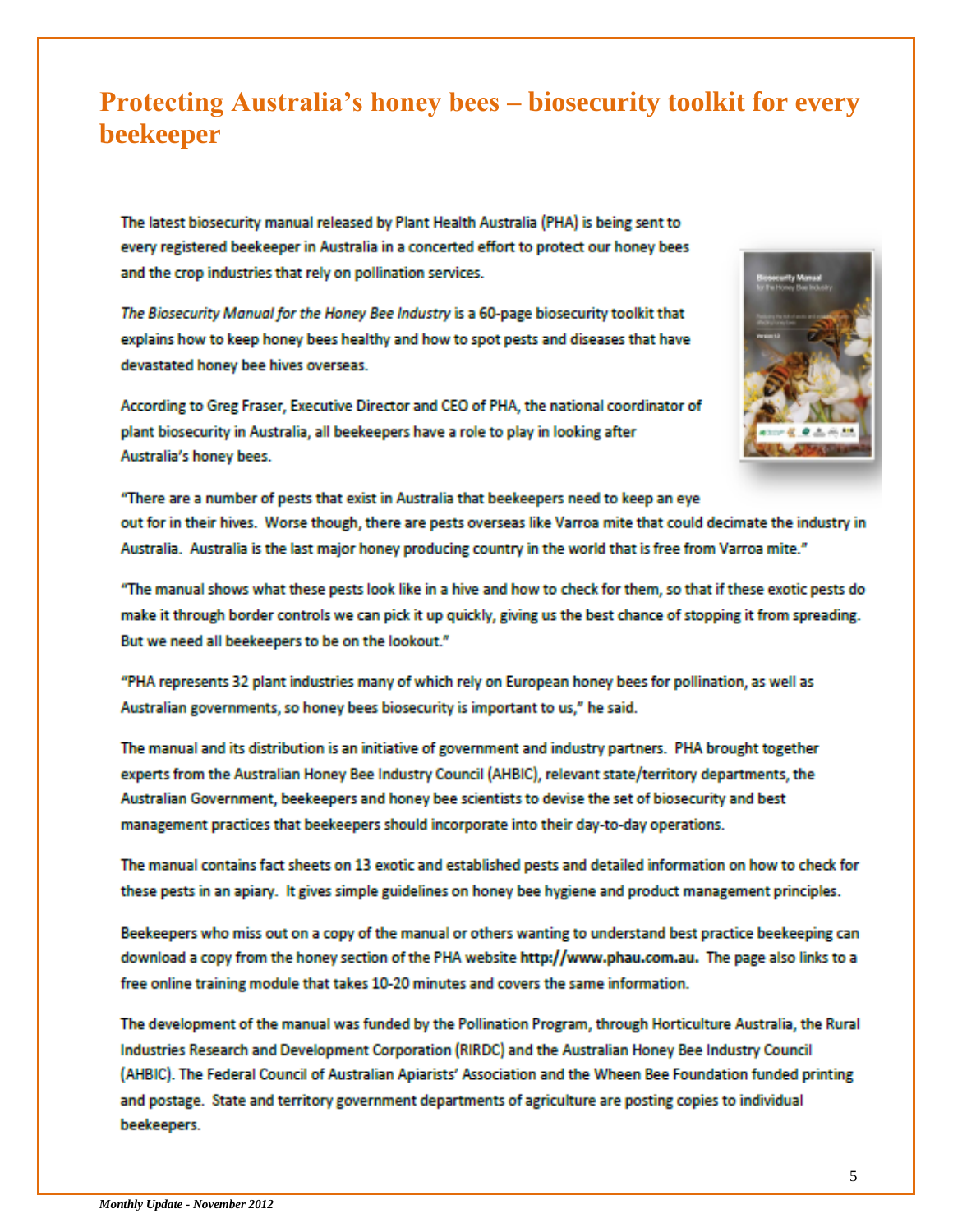## **Protecting Australia's honey bees – biosecurity toolkit for every beekeeper**

The latest biosecurity manual released by Plant Health Australia (PHA) is being sent to every registered beekeeper in Australia in a concerted effort to protect our honey bees and the crop industries that rely on pollination services.

The Biosecurity Manual for the Honey Bee Industry is a 60-page biosecurity toolkit that explains how to keep honey bees healthy and how to spot pests and diseases that have devastated honey bee hives overseas.

According to Greg Fraser, Executive Director and CEO of PHA, the national coordinator of plant biosecurity in Australia, all beekeepers have a role to play in looking after Australia's honey bees.



"There are a number of pests that exist in Australia that beekeepers need to keep an eye out for in their hives. Worse though, there are pests overseas like Varroa mite that could decimate the industry in Australia. Australia is the last major honey producing country in the world that is free from Varroa mite."

"The manual shows what these pests look like in a hive and how to check for them, so that if these exotic pests do make it through border controls we can pick it up quickly, giving us the best chance of stopping it from spreading. But we need all beekeepers to be on the lookout."

"PHA represents 32 plant industries many of which rely on European honey bees for pollination, as well as Australian governments, so honey bees biosecurity is important to us," he said.

The manual and its distribution is an initiative of government and industry partners. PHA brought together experts from the Australian Honey Bee Industry Council (AHBIC), relevant state/territory departments, the Australian Government, beekeepers and honey bee scientists to devise the set of biosecurity and best management practices that beekeepers should incorporate into their day-to-day operations.

The manual contains fact sheets on 13 exotic and established pests and detailed information on how to check for these pests in an apiary. It gives simple guidelines on honey bee hygiene and product management principles.

Beekeepers who miss out on a copy of the manual or others wanting to understand best practice beekeeping can download a copy from the honey section of the PHA website http://www.phau.com.au. The page also links to a free online training module that takes 10-20 minutes and covers the same information.

The development of the manual was funded by the Pollination Program, through Horticulture Australia, the Rural Industries Research and Development Corporation (RIRDC) and the Australian Honey Bee Industry Council (AHBIC). The Federal Council of Australian Apiarists' Association and the Wheen Bee Foundation funded printing and postage. State and territory government departments of agriculture are posting copies to individual beekeepers.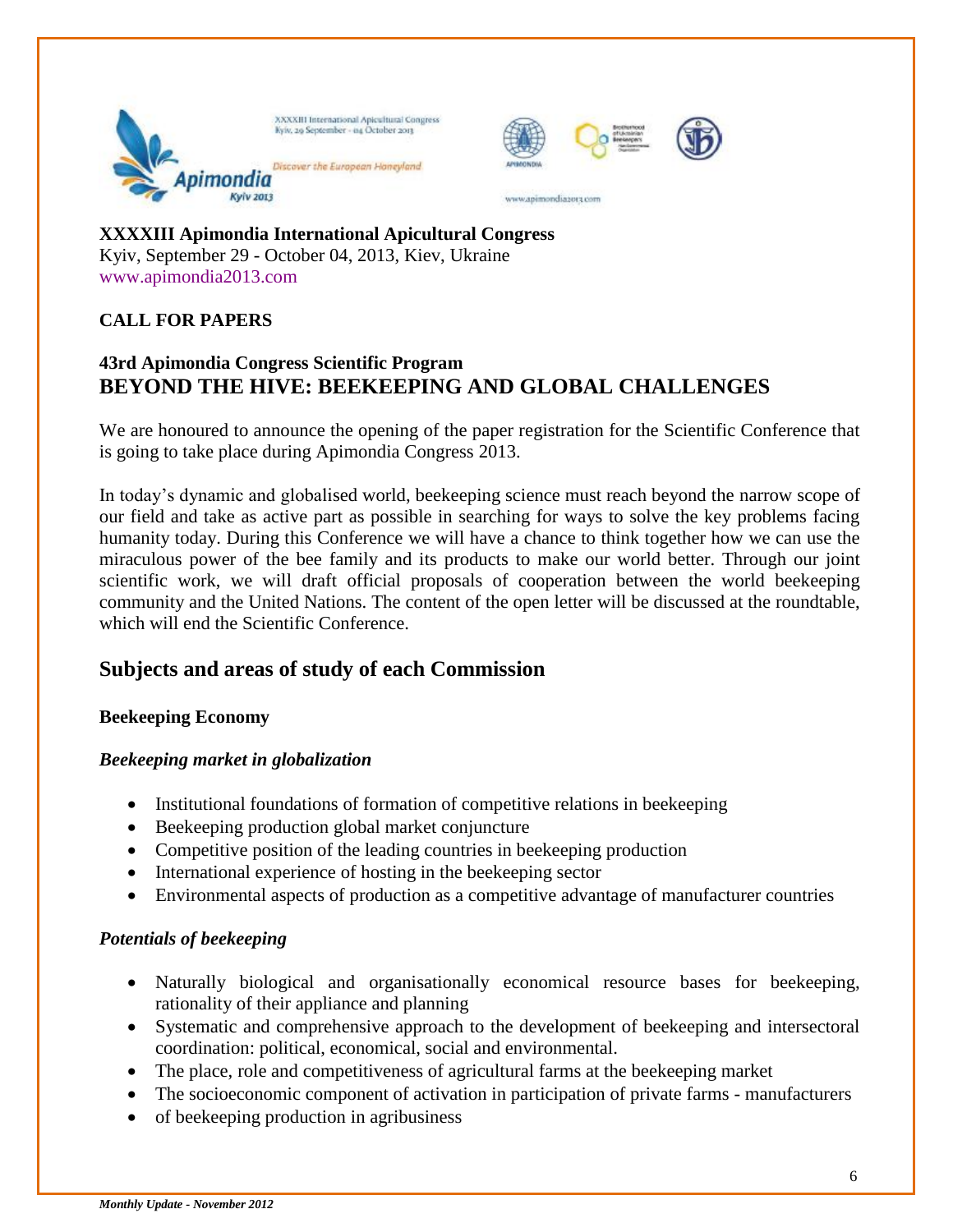



www.animondiasora.com



**XXXXIII Apimondia International Apicultural Congress** Kyiv, September 29 - October 04, 2013, Kiev, Ukraine www.apimondia2013.com

#### **CALL FOR PAPERS**

#### **43rd Apimondia Congress Scientific Program BEYOND THE HIVE: BEEKEEPING AND GLOBAL CHALLENGES**

We are honoured to announce the opening of the paper registration for the Scientific Conference that is going to take place during Apimondia Congress 2013.

In today's dynamic and globalised world, beekeeping science must reach beyond the narrow scope of our field and take as active part as possible in searching for ways to solve the key problems facing humanity today. During this Conference we will have a chance to think together how we can use the miraculous power of the bee family and its products to make our world better. Through our joint scientific work, we will draft official proposals of cooperation between the world beekeeping community and the United Nations. The content of the open letter will be discussed at the roundtable, which will end the Scientific Conference.

#### **Subjects and areas of study of each Commission**

#### **Beekeeping Economy**

#### *Beekeeping market in globalization*

- Institutional foundations of formation of competitive relations in beekeeping
- Beekeeping production global market conjuncture
- Competitive position of the leading countries in beekeeping production
- International experience of hosting in the beekeeping sector
- Environmental aspects of production as a competitive advantage of manufacturer countries

#### *Potentials of beekeeping*

- Naturally biological and organisationally economical resource bases for beekeeping, rationality of their appliance and planning
- Systematic and comprehensive approach to the development of beekeeping and intersectoral coordination: political, economical, social and environmental.
- The place, role and competitiveness of agricultural farms at the beekeeping market
- The socioeconomic component of activation in participation of private farms manufacturers
- of beekeeping production in agribusiness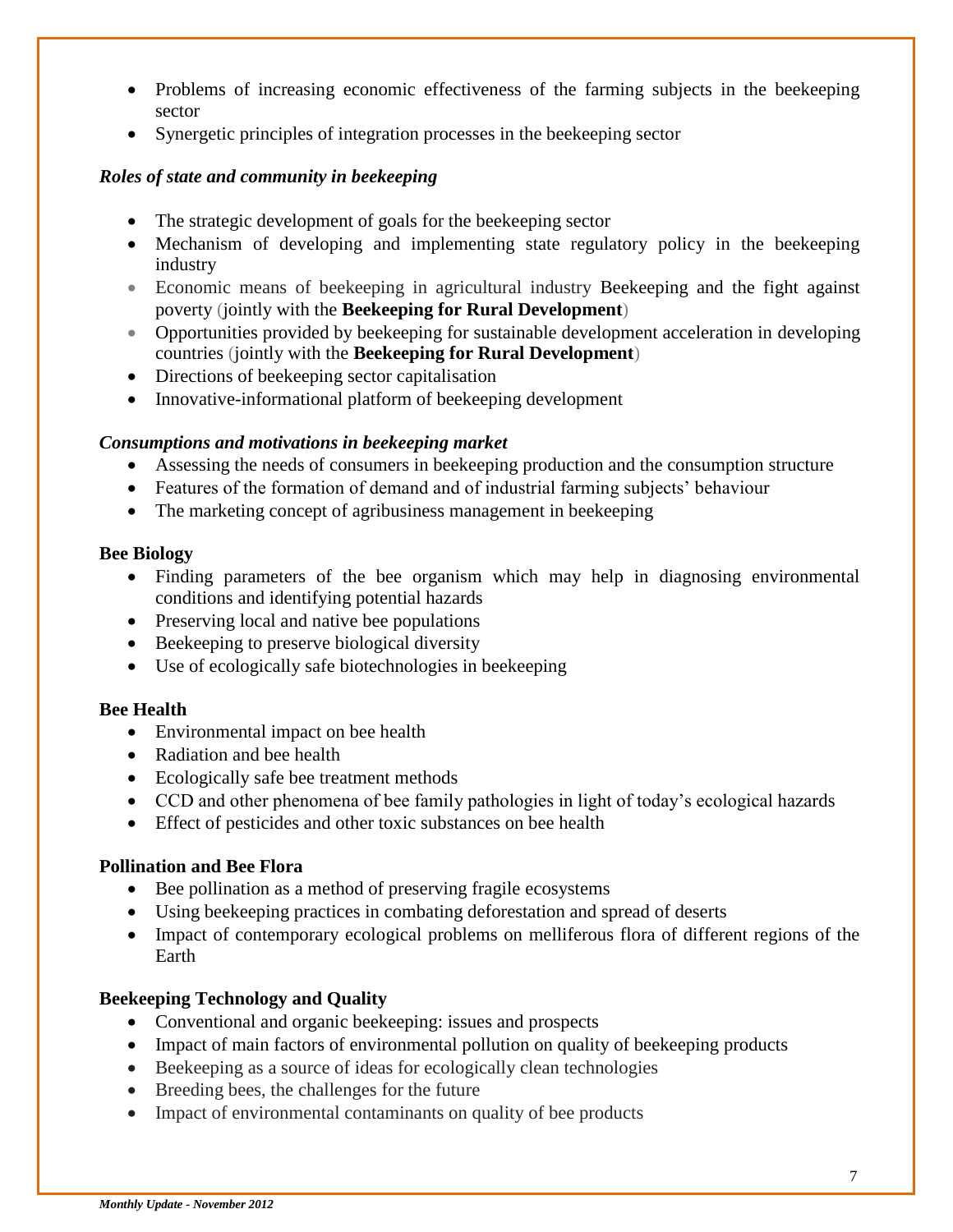- Problems of increasing economic effectiveness of the farming subjects in the beekeeping sector
- Synergetic principles of integration processes in the beekeeping sector

#### *Roles of state and community in beekeeping*

- The strategic development of goals for the beekeeping sector
- Mechanism of developing and implementing state regulatory policy in the beekeeping industry
- Economic means of beekeeping in agricultural industry Beekeeping and the fight against poverty (jointly with the **Beekeeping for Rural Development**)
- Opportunities provided by beekeeping for sustainable development acceleration in developing countries (jointly with the **Beekeeping for Rural Development**)
- Directions of beekeeping sector capitalisation
- Innovative-informational platform of beekeeping development

#### *Consumptions and motivations in beekeeping market*

- Assessing the needs of consumers in beekeeping production and the consumption structure
- Features of the formation of demand and of industrial farming subjects' behaviour
- The marketing concept of agribusiness management in beekeeping

#### **Bee Biology**

- Finding parameters of the bee organism which may help in diagnosing environmental conditions and identifying potential hazards
- Preserving local and native bee populations
- Beekeeping to preserve biological diversity
- Use of ecologically safe biotechnologies in beekeeping

#### **Bee Health**

- Environmental impact on bee health
- Radiation and bee health
- Ecologically safe bee treatment methods
- CCD and other phenomena of bee family pathologies in light of today's ecological hazards
- Effect of pesticides and other toxic substances on bee health

#### **Pollination and Bee Flora**

- Bee pollination as a method of preserving fragile ecosystems
- Using beekeeping practices in combating deforestation and spread of deserts
- Impact of contemporary ecological problems on melliferous flora of different regions of the Earth

#### **Beekeeping Technology and Quality**

- Conventional and organic beekeeping: issues and prospects
- Impact of main factors of environmental pollution on quality of beekeeping products
- Beekeeping as a source of ideas for ecologically clean technologies
- Breeding bees, the challenges for the future
- Impact of environmental contaminants on quality of bee products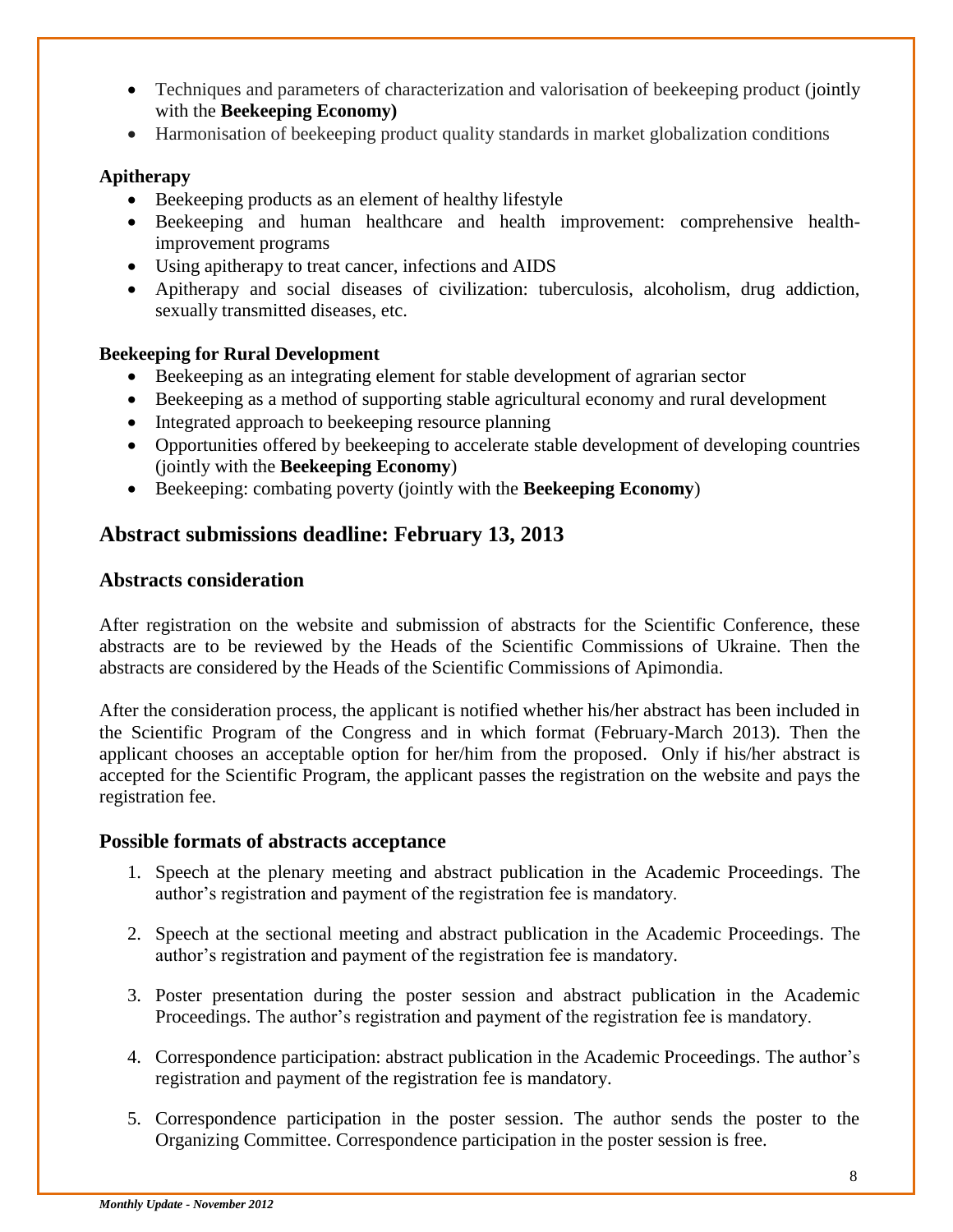- Techniques and parameters of characterization and valorisation of beekeeping product (jointly with the **Beekeeping Economy)**
- Harmonisation of beekeeping product quality standards in market globalization conditions

#### **Apitherapy**

- Beekeeping products as an element of healthy lifestyle
- Beekeeping and human healthcare and health improvement: comprehensive healthimprovement programs
- Using apitherapy to treat cancer, infections and AIDS
- Apitherapy and social diseases of civilization: tuberculosis, alcoholism, drug addiction, sexually transmitted diseases, etc.

#### **Beekeeping for Rural Development**

- Beekeeping as an integrating element for stable development of agrarian sector
- Beekeeping as a method of supporting stable agricultural economy and rural development
- Integrated approach to beekeeping resource planning
- Opportunities offered by beekeeping to accelerate stable development of developing countries (jointly with the **Beekeeping Economy**)
- Beekeeping: combating poverty (jointly with the **Beekeeping Economy**)

#### **Abstract submissions deadline: February 13, 2013**

#### **Abstracts consideration**

After registration on the website and submission of abstracts for the Scientific Conference, these abstracts are to be reviewed by the Heads of the Scientific Commissions of Ukraine. Then the abstracts are considered by the Heads of the Scientific Commissions of Apimondia.

After the consideration process, the applicant is notified whether his/her abstract has been included in the Scientific Program of the Congress and in which format (February-March 2013). Then the applicant chooses an acceptable option for her/him from the proposed. Only if his/her abstract is accepted for the Scientific Program, the applicant passes the registration on the website and pays the registration fee.

#### **Possible formats of abstracts acceptance**

- 1. Speech at the plenary meeting and abstract publication in the Academic Proceedings. The author's registration and payment of the registration fee is mandatory.
- 2. Speech at the sectional meeting and abstract publication in the Academic Proceedings. The author's registration and payment of the registration fee is mandatory.
- 3. Poster presentation during the poster session and abstract publication in the Academic Proceedings. The author's registration and payment of the registration fee is mandatory.
- 4. Correspondence participation: abstract publication in the Academic Proceedings. The author's registration and payment of the registration fee is mandatory.
- 5. Correspondence participation in the poster session. The author sends the poster to the Organizing Committee. Correspondence participation in the poster session is free.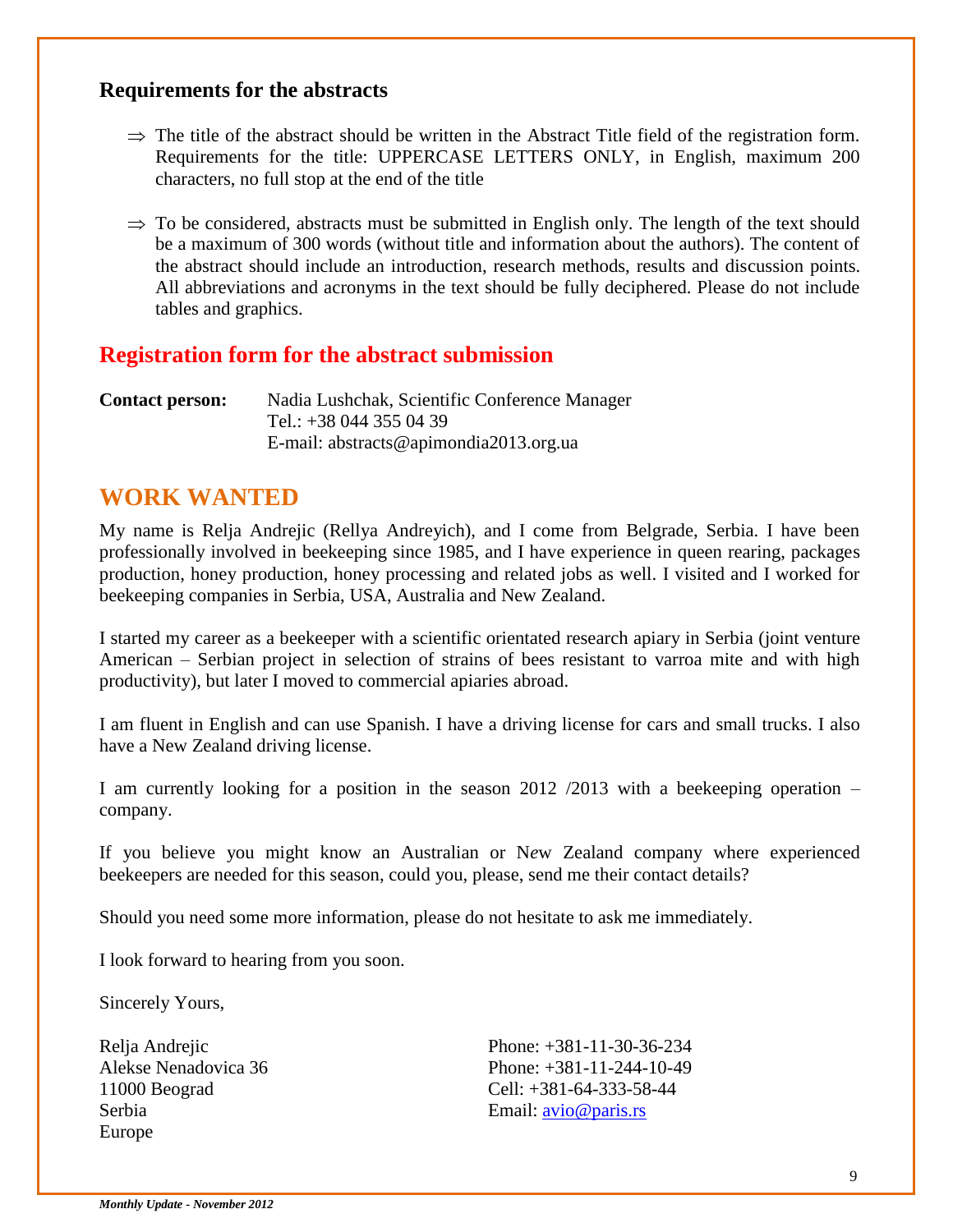#### **Requirements for the abstracts**

- $\Rightarrow$  The title of the abstract should be written in the Abstract Title field of the registration form. Requirements for the title: UPPERCASE LETTERS ONLY, in English, maximum 200 characters, no full stop at the end of the title
- $\Rightarrow$  To be considered, abstracts must be submitted in English only. The length of the text should be a maximum of 300 words (without title and information about the authors). The content of the abstract should include an introduction, research methods, results and discussion points. All abbreviations and acronyms in the text should be fully deciphered. Please do not include tables and graphics.

#### **Registration form for the abstract submission**

**Contact person:** Nadia Lushchak, Scientific Conference Manager Tel.: +38 044 355 04 39 E-mail: abstracts@apimondia2013.org.ua

#### **WORK WANTED**

My name is Relja Andrejic (Rellya Andreyich), and I come from Belgrade, Serbia. I have been professionally involved in beekeeping since 1985, and I have experience in queen rearing, packages production, honey production, honey processing and related jobs as well. I visited and I worked for beekeeping companies in Serbia, USA, Australia and New Zealand.

I started my career as a beekeeper with a scientific orientated research apiary in Serbia (joint venture American – Serbian project in selection of strains of bees resistant to varroa mite and with high productivity), but later I moved to commercial apiaries abroad.

I am fluent in English and can use Spanish. I have a driving license for cars and small trucks. I also have a New Zealand driving license.

I am currently looking for a position in the season 2012 /2013 with a beekeeping operation – company.

If you believe you might know an Australian or N*e*w Zealand company where experienced beekeepers are needed for this season, could you, please, send me their contact details?

Should you need some more information, please do not hesitate to ask me immediately.

I look forward to hearing from you soon.

Sincerely Yours,

Relja Andrejic Alekse Nenadovica 36 11000 Beograd Serbia Europe

Phone: +381-11-30-36-234 Phone: +381-11-244-10-49 Cell: +381-64-333-58-44 Email: [avio@paris.rs](mailto:avio@paris.rs)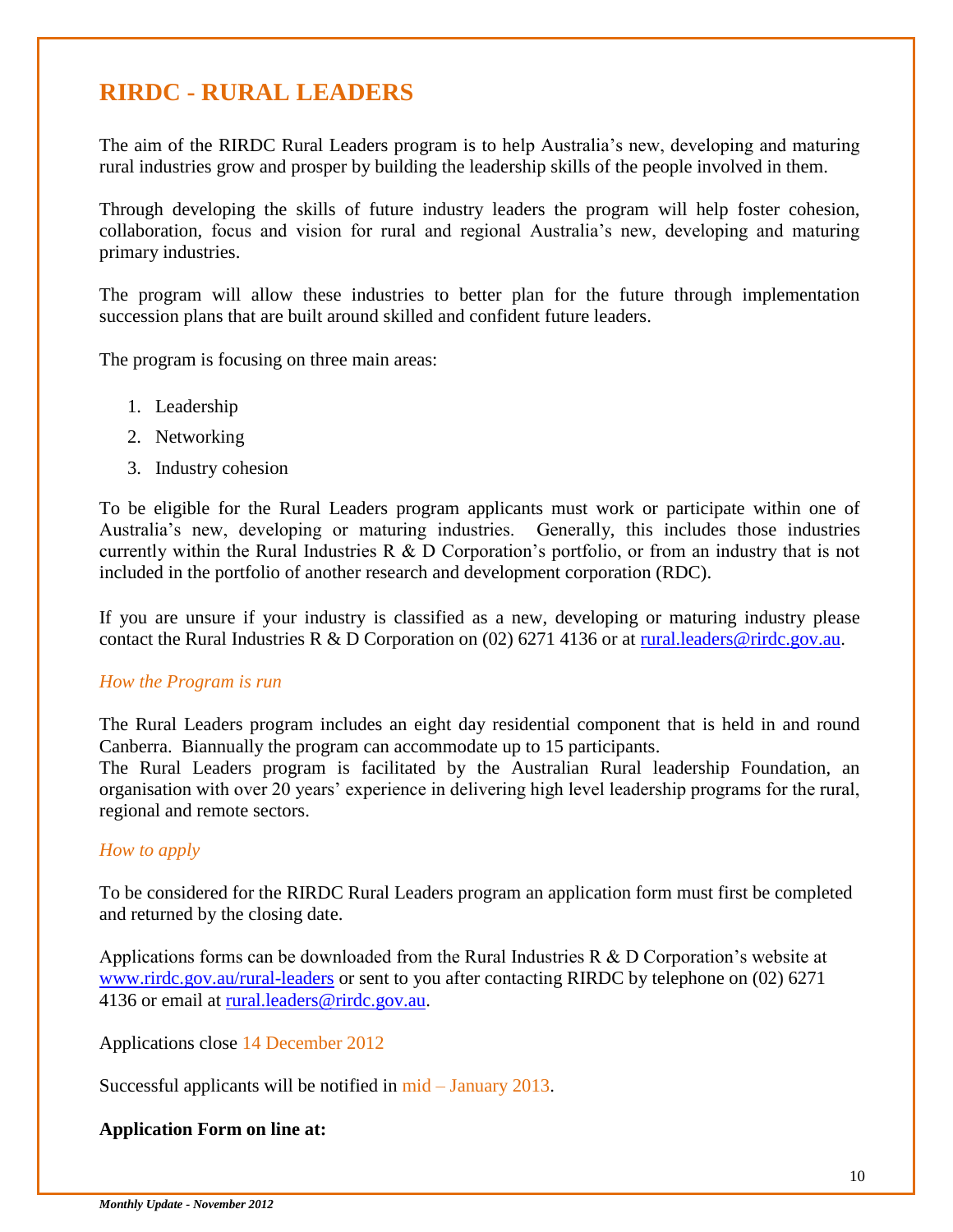### **RIRDC - RURAL LEADERS**

The aim of the RIRDC Rural Leaders program is to help Australia's new, developing and maturing rural industries grow and prosper by building the leadership skills of the people involved in them.

Through developing the skills of future industry leaders the program will help foster cohesion, collaboration, focus and vision for rural and regional Australia's new, developing and maturing primary industries.

The program will allow these industries to better plan for the future through implementation succession plans that are built around skilled and confident future leaders.

The program is focusing on three main areas:

- 1. Leadership
- 2. Networking
- 3. Industry cohesion

To be eligible for the Rural Leaders program applicants must work or participate within one of Australia's new, developing or maturing industries. Generally, this includes those industries currently within the Rural Industries R & D Corporation's portfolio, or from an industry that is not included in the portfolio of another research and development corporation (RDC).

If you are unsure if your industry is classified as a new, developing or maturing industry please contact the Rural Industries R & D Corporation on (02) 6271 4136 or at [rural.leaders@rirdc.gov.au.](mailto:rural.leaders@rirdc.gov.au)

#### *How the Program is run*

The Rural Leaders program includes an eight day residential component that is held in and round Canberra. Biannually the program can accommodate up to 15 participants.

The Rural Leaders program is facilitated by the Australian Rural leadership Foundation, an organisation with over 20 years' experience in delivering high level leadership programs for the rural, regional and remote sectors.

#### *How to apply*

To be considered for the RIRDC Rural Leaders program an application form must first be completed and returned by the closing date.

Applications forms can be downloaded from the Rural Industries R & D Corporation's website at [www.rirdc.gov.au/rural-leaders](http://www.rirdc.gov.au/rural-leaders) or sent to you after contacting RIRDC by telephone on (02) 6271 4136 or email at [rural.leaders@rirdc.gov.au.](mailto:rural.leaders@rirdc.gov.au)

Applications close 14 December 2012

Successful applicants will be notified in mid – January 2013.

#### **Application Form on line at:**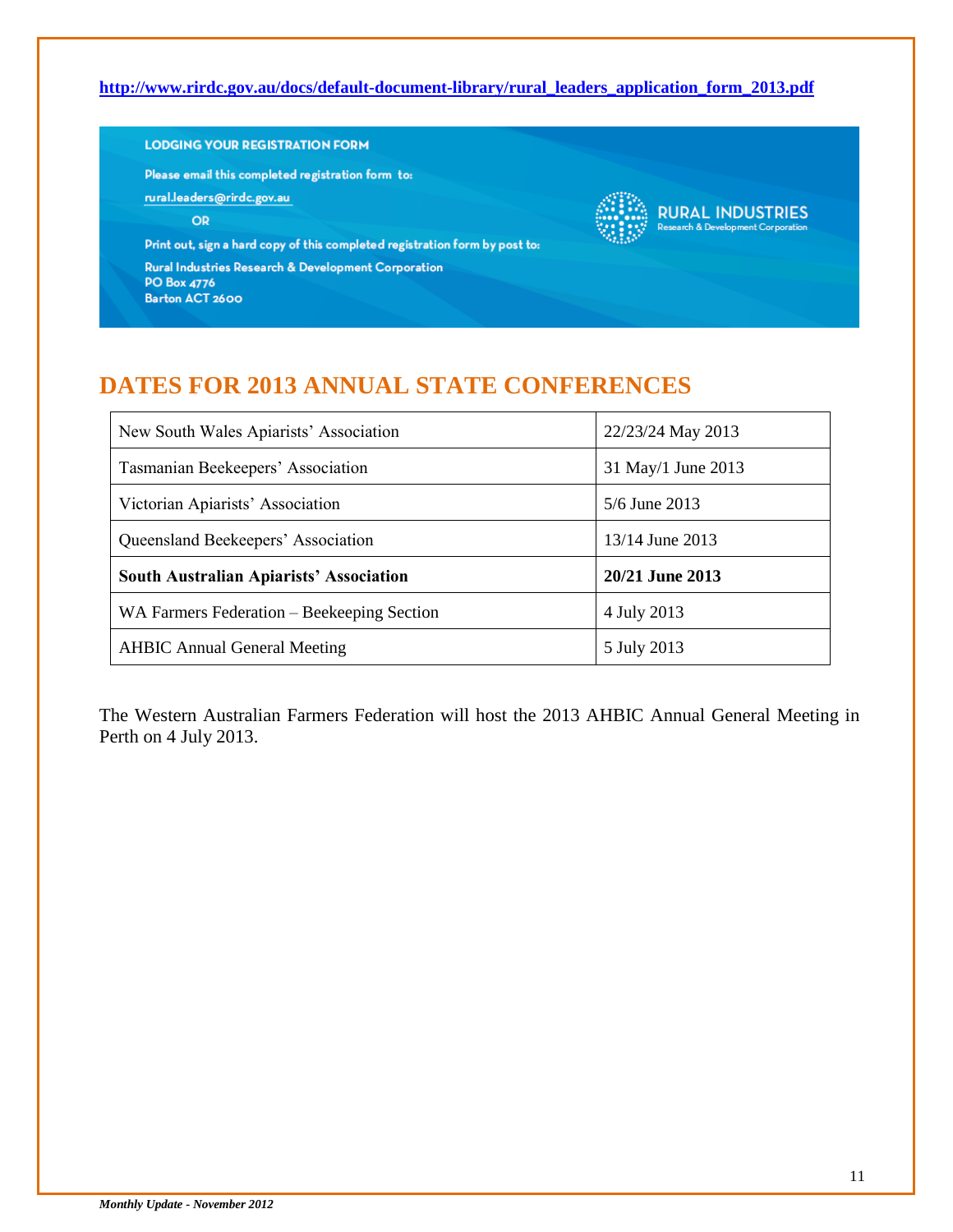#### **[http://www.rirdc.gov.au/docs/default-document-library/rural\\_leaders\\_application\\_form\\_2013.pdf](http://www.rirdc.gov.au/docs/default-document-library/rural_leaders_application_form_2013.pdf)**

#### **LODGING YOUR REGISTRATION FORM**

Please email this completed registration form to:

rural.leaders@rirdc.gov.au

OR

Print out, sign a hard copy of this completed registration form by post to:

Rural Industries Research & Development Corporation **PO Box 4776** Barton ACT 2600



## **DATES FOR 2013 ANNUAL STATE CONFERENCES**

| New South Wales Apiarists' Association         | 22/23/24 May 2013  |
|------------------------------------------------|--------------------|
| Tasmanian Beekeepers' Association              | 31 May/1 June 2013 |
| Victorian Apiarists' Association               | $5/6$ June 2013    |
| Queensland Beekeepers' Association             | 13/14 June 2013    |
| <b>South Australian Apiarists' Association</b> | 20/21 June 2013    |
| WA Farmers Federation – Beekeeping Section     | 4 July 2013        |
| <b>AHBIC Annual General Meeting</b>            | 5 July 2013        |

The Western Australian Farmers Federation will host the 2013 AHBIC Annual General Meeting in Perth on 4 July 2013.